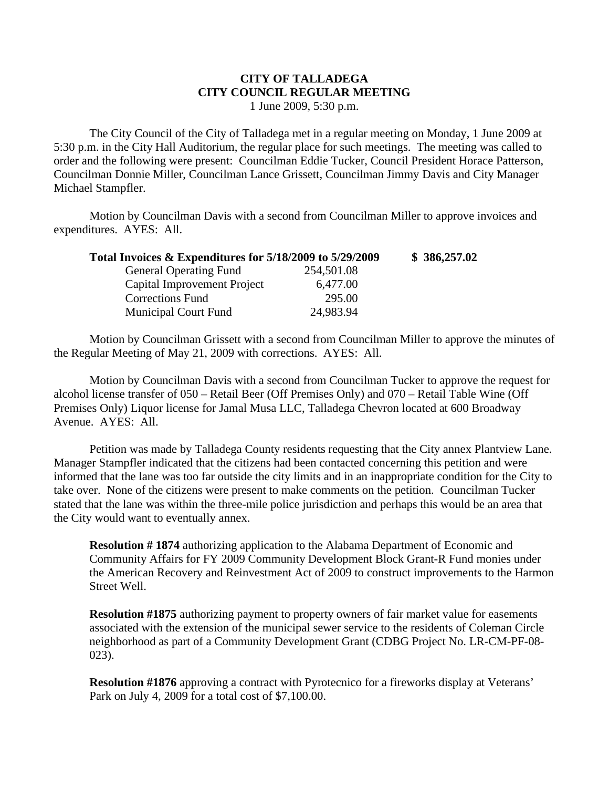## **CITY OF TALLADEGA CITY COUNCIL REGULAR MEETING**

1 June 2009, 5:30 p.m.

The City Council of the City of Talladega met in a regular meeting on Monday, 1 June 2009 at 5:30 p.m. in the City Hall Auditorium, the regular place for such meetings. The meeting was called to order and the following were present: Councilman Eddie Tucker, Council President Horace Patterson, Councilman Donnie Miller, Councilman Lance Grissett, Councilman Jimmy Davis and City Manager Michael Stampfler.

Motion by Councilman Davis with a second from Councilman Miller to approve invoices and expenditures. AYES: All.

| Total Invoices & Expenditures for 5/18/2009 to 5/29/2009 |            | \$386,257.02 |
|----------------------------------------------------------|------------|--------------|
| <b>General Operating Fund</b>                            | 254,501.08 |              |
| Capital Improvement Project                              | 6,477.00   |              |
| <b>Corrections Fund</b>                                  | 295.00     |              |
| <b>Municipal Court Fund</b>                              | 24,983.94  |              |

Motion by Councilman Grissett with a second from Councilman Miller to approve the minutes of the Regular Meeting of May 21, 2009 with corrections. AYES: All.

Motion by Councilman Davis with a second from Councilman Tucker to approve the request for alcohol license transfer of 050 – Retail Beer (Off Premises Only) and 070 – Retail Table Wine (Off Premises Only) Liquor license for Jamal Musa LLC, Talladega Chevron located at 600 Broadway Avenue. AYES: All.

Petition was made by Talladega County residents requesting that the City annex Plantview Lane. Manager Stampfler indicated that the citizens had been contacted concerning this petition and were informed that the lane was too far outside the city limits and in an inappropriate condition for the City to take over. None of the citizens were present to make comments on the petition. Councilman Tucker stated that the lane was within the three-mile police jurisdiction and perhaps this would be an area that the City would want to eventually annex.

**Resolution # 1874** authorizing application to the Alabama Department of Economic and Community Affairs for FY 2009 Community Development Block Grant-R Fund monies under the American Recovery and Reinvestment Act of 2009 to construct improvements to the Harmon Street Well.

**Resolution #1875** authorizing payment to property owners of fair market value for easements associated with the extension of the municipal sewer service to the residents of Coleman Circle neighborhood as part of a Community Development Grant (CDBG Project No. LR-CM-PF-08- 023).

**Resolution #1876** approving a contract with Pyrotecnico for a fireworks display at Veterans' Park on July 4, 2009 for a total cost of \$7,100.00.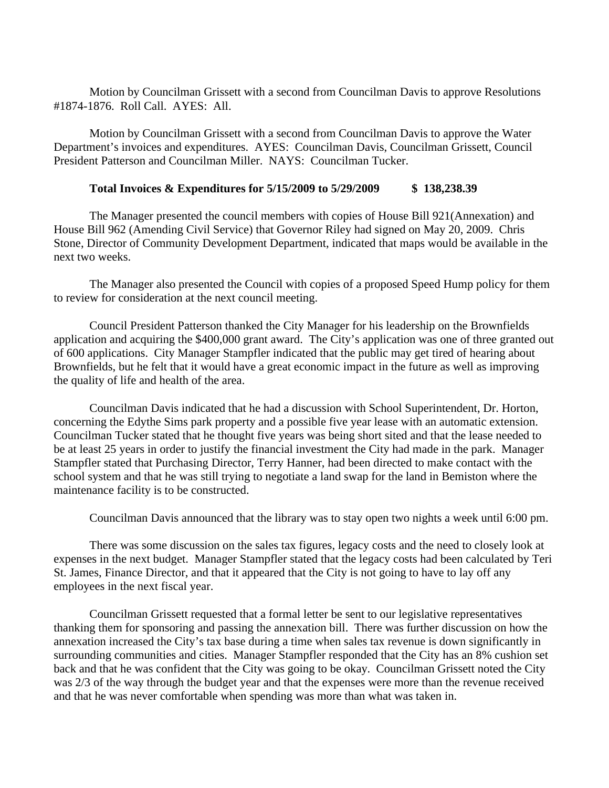Motion by Councilman Grissett with a second from Councilman Davis to approve Resolutions #1874-1876. Roll Call. AYES: All.

Motion by Councilman Grissett with a second from Councilman Davis to approve the Water Department's invoices and expenditures. AYES: Councilman Davis, Councilman Grissett, Council President Patterson and Councilman Miller. NAYS: Councilman Tucker.

## **Total Invoices & Expenditures for 5/15/2009 to 5/29/2009 \$ 138,238.39**

The Manager presented the council members with copies of House Bill 921(Annexation) and House Bill 962 (Amending Civil Service) that Governor Riley had signed on May 20, 2009. Chris Stone, Director of Community Development Department, indicated that maps would be available in the next two weeks.

The Manager also presented the Council with copies of a proposed Speed Hump policy for them to review for consideration at the next council meeting.

Council President Patterson thanked the City Manager for his leadership on the Brownfields application and acquiring the \$400,000 grant award. The City's application was one of three granted out of 600 applications. City Manager Stampfler indicated that the public may get tired of hearing about Brownfields, but he felt that it would have a great economic impact in the future as well as improving the quality of life and health of the area.

Councilman Davis indicated that he had a discussion with School Superintendent, Dr. Horton, concerning the Edythe Sims park property and a possible five year lease with an automatic extension. Councilman Tucker stated that he thought five years was being short sited and that the lease needed to be at least 25 years in order to justify the financial investment the City had made in the park. Manager Stampfler stated that Purchasing Director, Terry Hanner, had been directed to make contact with the school system and that he was still trying to negotiate a land swap for the land in Bemiston where the maintenance facility is to be constructed.

Councilman Davis announced that the library was to stay open two nights a week until 6:00 pm.

There was some discussion on the sales tax figures, legacy costs and the need to closely look at expenses in the next budget. Manager Stampfler stated that the legacy costs had been calculated by Teri St. James, Finance Director, and that it appeared that the City is not going to have to lay off any employees in the next fiscal year.

Councilman Grissett requested that a formal letter be sent to our legislative representatives thanking them for sponsoring and passing the annexation bill. There was further discussion on how the annexation increased the City's tax base during a time when sales tax revenue is down significantly in surrounding communities and cities. Manager Stampfler responded that the City has an 8% cushion set back and that he was confident that the City was going to be okay. Councilman Grissett noted the City was 2/3 of the way through the budget year and that the expenses were more than the revenue received and that he was never comfortable when spending was more than what was taken in.